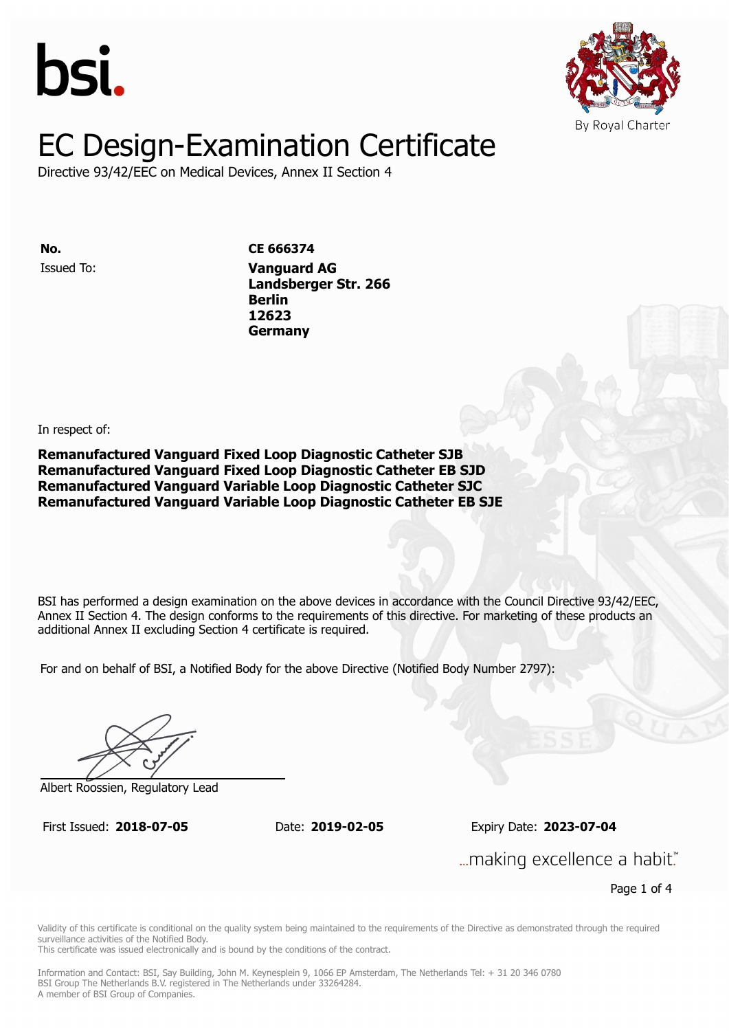



Directive 93/42/EEC on Medical Devices, Annex II Section 4

Issued To: **Vanguard AG No. CE 666374 Landsberger Str. 2666**<br>Protokologista Str. 2666<br>Protokologista Str. 2666 **Berlin** Issued To: **Vanguard AG 12623 Landsberger Str. 266 Berlin 12623 Germany**

In respect of:

**Remanufactured Vanguard Fixed Loop Diagnostic Catheter SJB Remanufactured Vanguard Fixed Loop Diagnostic Catheter EB SJD Remanufactured Vanguard Variable Loop Diagnostic Catheter SJC Remanufactured Vanguard Variable Loop Diagnostic Catheter EB SJE**

BSI has performed a design examination on the above devices in accordance with the Council Directive 93/42/EEC. Annex II Section 4. The design conforms to the requirements of this directive. For marketing of these products an additional Annex II excluding Section 4 certificate is required.

For and on behalf of BSI, a Notified Body for the above Directive (Notified Body Number 2797):

Albert Roossien, Regulatory Lead

First Issued: **2018-07-05** Date: **2019-02-05** Expiry Date: **2023-07-04** First Issued: **2018-07-05** Date: **2019-02-05** Expiry Date: **2023-07-04**

... making excellence a habit."

Page 1 of 4

Validity of this certificate is conditional on the quality system being maintained to the requirements of the Directive as demonstrated through the required surveillance activities of the Notified Body.

This certificate was issued electronically and is bound by the conditions of the contract.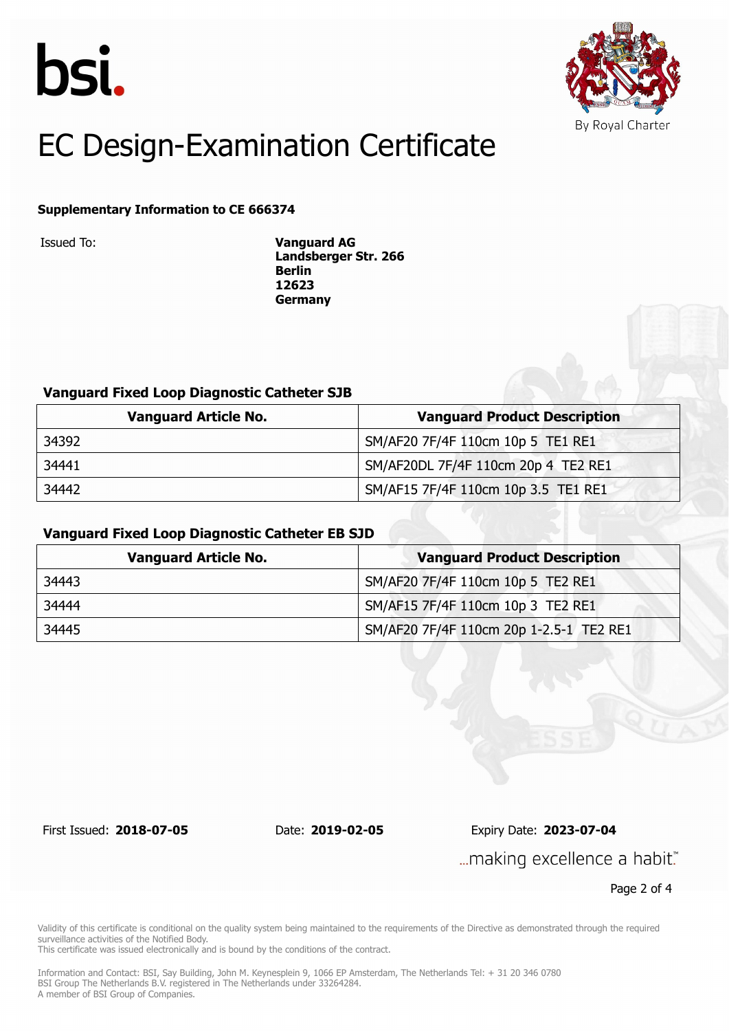



#### **Supplementary Information to CE 666374**

Issued To: **Vanguard AG Landsberger Str. 266 Berlin 12623 Germany**

#### **Vanguard Fixed Loop Diagnostic Catheter SJB**

| <b>Vanguard Article No.</b> | <b>Vanguard Product Description</b> |
|-----------------------------|-------------------------------------|
| 34392                       | SM/AF20 7F/4F 110cm 10p 5 TE1 RE1   |
| 34441                       | SM/AF20DL 7F/4F 110cm 20p 4 TE2 RE1 |
| 34442                       | SM/AF15 7F/4F 110cm 10p 3.5 TE1 RE1 |

#### **Vanguard Fixed Loop Diagnostic Catheter EB SJD**

| <b>Vanguard Article No.</b> | <b>Vanguard Product Description</b>     |
|-----------------------------|-----------------------------------------|
| 34443                       | SM/AF20 7F/4F 110cm 10p 5 TE2 RE1       |
| 34444                       | SM/AF15 7F/4F 110cm 10p 3 TE2 RE1       |
| 34445                       | SM/AF20 7F/4F 110cm 20p 1-2.5-1 TE2 RE1 |

First Issued: **2018-07-05** Date: **2019-02-05** Expiry Date: **2023-07-04**

... making excellence a habit."

Page 2 of 4

Validity of this certificate is conditional on the quality system being maintained to the requirements of the Directive as demonstrated through the required surveillance activities of the Notified Body.

This certificate was issued electronically and is bound by the conditions of the contract.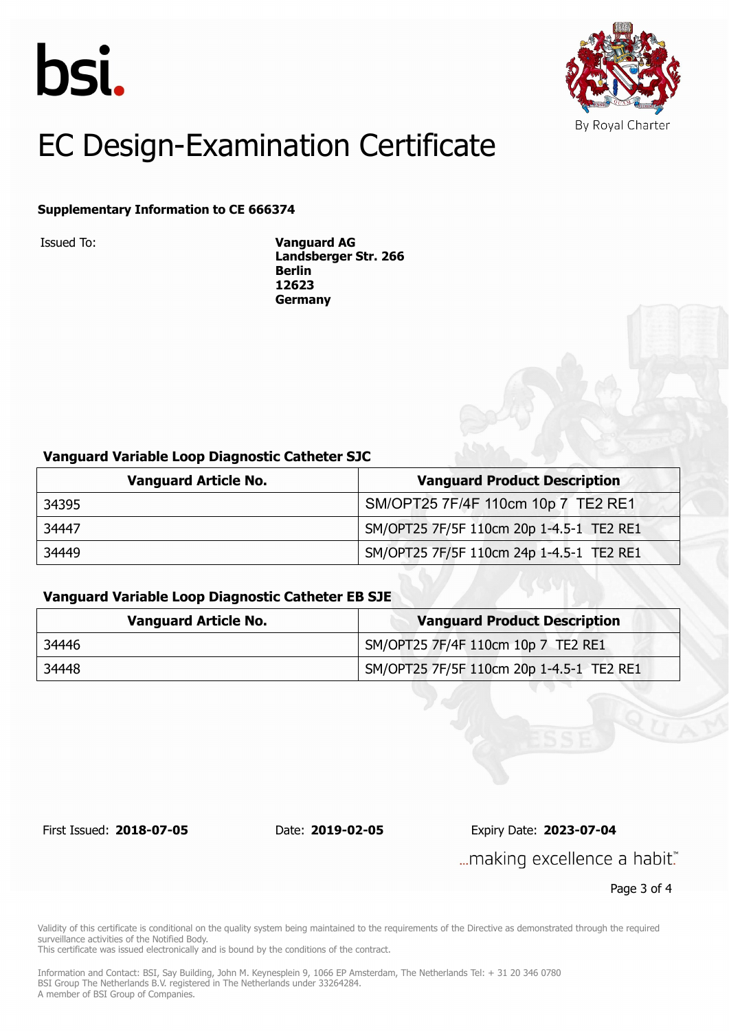



#### **Supplementary Information to CE 666374**

Issued To: **Vanguard AG Landsberger Str. 266 Berlin 12623 Germany**

#### **Vanguard Variable Loop Diagnostic Catheter SJC**

| <b>Vanguard Article No.</b> | <b>Vanguard Product Description</b>      |
|-----------------------------|------------------------------------------|
| 34395                       | SM/OPT25 7F/4F 110cm 10p 7 TE2 RE1       |
| 34447                       | SM/OPT25 7F/5F 110cm 20p 1-4.5-1 TE2 RE1 |
| 34449                       | SM/OPT25 7F/5F 110cm 24p 1-4.5-1 TE2 RE1 |

#### **Vanguard Variable Loop Diagnostic Catheter EB SJE**

| <b>Vanguard Article No.</b> | <b>Vanguard Product Description</b>      |
|-----------------------------|------------------------------------------|
| 34446                       | SM/OPT25 7F/4F 110cm 10p 7 TE2 RE1       |
| 34448                       | SM/OPT25 7F/5F 110cm 20p 1-4.5-1 TE2 RE1 |

First Issued: **2018-07-05** Date: **2019-02-05** Expiry Date: **2023-07-04**

... making excellence a habit."

Page 3 of 4

Validity of this certificate is conditional on the quality system being maintained to the requirements of the Directive as demonstrated through the required surveillance activities of the Notified Body.

This certificate was issued electronically and is bound by the conditions of the contract.